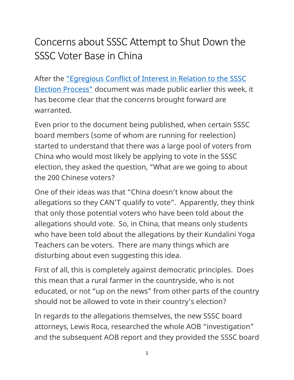## Concerns about SSSC Attempt to Shut Down the SSSC Voter Base in China

After the ["Egregious Conflict of Interest in Relation to the SSSC](https://fairinvestigation.com/complaints-against-sssc/)  [Election Process"](https://fairinvestigation.com/complaints-against-sssc/) document was made public earlier this week, it has become clear that the concerns brought forward are warranted.

Even prior to the document being published, when certain SSSC board members (some of whom are running for reelection) started to understand that there was a large pool of voters from China who would most likely be applying to vote in the SSSC election, they asked the question, "What are we going to about the 200 Chinese voters?

One of their ideas was that "China doesn't know about the allegations so they CAN'T qualify to vote". Apparently, they think that only those potential voters who have been told about the allegations should vote. So, in China, that means only students who have been told about the allegations by their Kundalini Yoga Teachers can be voters. There are many things which are disturbing about even suggesting this idea.

First of all, this is completely against democratic principles. Does this mean that a rural farmer in the countryside, who is not educated, or not "up on the news" from other parts of the country should not be allowed to vote in their country's election?

In regards to the allegations themselves, the new SSSC board attorneys, Lewis Roca, researched the whole AOB "investigation" and the subsequent AOB report and they provided the SSSC board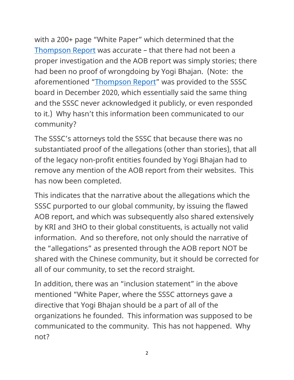with a 200+ page "White Paper" which determined that the [Thompson Report](https://fairinvestigation.com/) was accurate – that there had not been a proper investigation and the AOB report was simply stories; there had been no proof of wrongdoing by Yogi Bhajan. (Note: the aforementioned ["Thompson Report"](https://fairinvestigation.com/) was provided to the SSSC board in December 2020, which essentially said the same thing and the SSSC never acknowledged it publicly, or even responded to it.) Why hasn't this information been communicated to our community?

The SSSC's attorneys told the SSSC that because there was no substantiated proof of the allegations (other than stories), that all of the legacy non-profit entities founded by Yogi Bhajan had to remove any mention of the AOB report from their websites. This has now been completed.

This indicates that the narrative about the allegations which the SSSC purported to our global community, by issuing the flawed AOB report, and which was subsequently also shared extensively by KRI and 3HO to their global constituents, is actually not valid information. And so therefore, not only should the narrative of the "allegations" as presented through the AOB report NOT be shared with the Chinese community, but it should be corrected for all of our community, to set the record straight.

In addition, there was an "inclusion statement" in the above mentioned "White Paper, where the SSSC attorneys gave a directive that Yogi Bhajan should be a part of all of the organizations he founded. This information was supposed to be communicated to the community. This has not happened. Why not?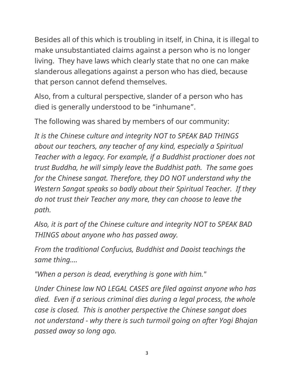Besides all of this which is troubling in itself, in China, it is illegal to make unsubstantiated claims against a person who is no longer living. They have laws which clearly state that no one can make slanderous allegations against a person who has died, because that person cannot defend themselves.

Also, from a cultural perspective, slander of a person who has died is generally understood to be "inhumane".

The following was shared by members of our community:

*It is the Chinese culture and integrity NOT to SPEAK BAD THINGS about our teachers, any teacher of any kind, especially a Spiritual Teacher with a legacy. For example, if a Buddhist practioner does not trust Buddha, he will simply leave the Buddhist path. The same goes for the Chinese sangat. Therefore, they DO NOT understand why the Western Sangat speaks so badly about their Spiritual Teacher. If they do not trust their Teacher any more, they can choose to leave the path.*

*Also, it is part of the Chinese culture and integrity NOT to SPEAK BAD THINGS about anyone who has passed away.*

*From the traditional Confucius, Buddhist and Daoist teachings the same thing....*

*"When a person is dead, everything is gone with him."*

*Under Chinese law NO LEGAL CASES are filed against anyone who has died. Even if a serious criminal dies during a legal process, the whole case is closed. This is another perspective the Chinese sangat does not understand - why there is such turmoil going on after Yogi Bhajan passed away so long ago.*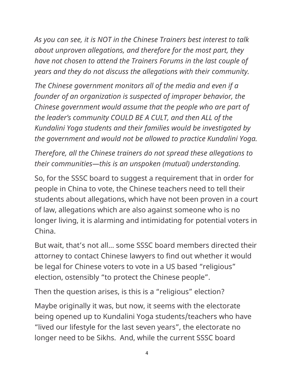*As you can see, it is NOT in the Chinese Trainers best interest to talk about unproven allegations, and therefore for the most part, they have not chosen to attend the Trainers Forums in the last couple of years and they do not discuss the allegations with their community.*

*The Chinese government monitors all of the media and even if a founder of an organization is suspected of improper behavior, the Chinese government would assume that the people who are part of the leader's community COULD BE A CULT, and then ALL of the Kundalini Yoga students and their families would be investigated by the government and would not be allowed to practice Kundalini Yoga.* 

*Therefore, all the Chinese trainers do not spread these allegations to their communities—this is an unspoken (mutual) understanding.*

So, for the SSSC board to suggest a requirement that in order for people in China to vote, the Chinese teachers need to tell their students about allegations, which have not been proven in a court of law, allegations which are also against someone who is no longer living, it is alarming and intimidating for potential voters in China.

But wait, that's not all… some SSSC board members directed their attorney to contact Chinese lawyers to find out whether it would be legal for Chinese voters to vote in a US based "religious" election, ostensibly "to protect the Chinese people".

Then the question arises, is this is a "religious" election?

Maybe originally it was, but now, it seems with the electorate being opened up to Kundalini Yoga students/teachers who have "lived our lifestyle for the last seven years", the electorate no longer need to be Sikhs. And, while the current SSSC board